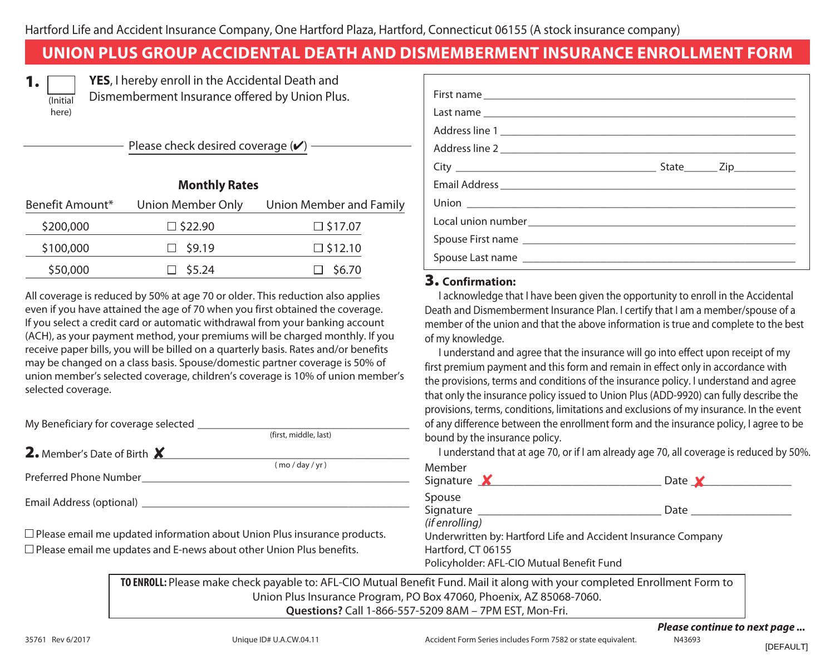# **UNION PLUS GROUP ACCIDENTAL DEATH AND DISMEMBERMENT INSURANCE ENROLLMENT FORM**

| ı<br>٠ |
|--------|

here)

**YES**, I hereby enroll in the Accidental Death and Dismemberment Insurance offered by Union Plus.

Please check desired coverage  $(\vee)$ 

**Monthly Rates**

| <b>IVIOIILIII</b> Nales |                   |                         |  |  |
|-------------------------|-------------------|-------------------------|--|--|
| Benefit Amount*         | Union Member Only | Union Member and Family |  |  |
| \$200,000               | $\square$ \$22.90 | $\square$ \$17.07       |  |  |
| \$100,000               | \$9.19            | $\square$ \$12.10       |  |  |
| \$50,000                | $\Box$ \$5.24     | \$6.70                  |  |  |
|                         |                   |                         |  |  |

All coverage is reduced by 50% at age 70 or older. This reduction also applies even if you have attained the age of 70 when you first obtained the coverage. If you select a credit card or automatic withdrawal from your banking account (ACH), as your payment method, your premiums will be charged monthly. If you receive paper bills, you will be billed on a quarterly basis. Rates and/or benefits may be changed on a class basis. Spouse/domestic partner coverage is 50% of union member's selected coverage, children's coverage is 10% of union member's selected coverage.

My Beneficiary for coverage selected

2. Member's Date of Birth X

Preferred Phone Number\_\_\_\_\_\_\_\_\_\_\_\_\_\_\_\_\_\_\_\_\_\_\_\_\_\_\_\_\_\_\_\_\_\_\_\_\_\_\_\_\_\_\_\_\_\_\_\_

Email Address (optional) **Email Address** (optional)

 $\Box$  Please email me updated information about Union Plus insurance products. Please email me updates and E-news about other Union Plus benefits.

#### 3. **Confirmation:**

I acknowledge that I have been given the opportunity to enroll in the Accidental Death and Dismemberment Insurance Plan. I certify that I am a member/spouse of a member of the union and that the above information is true and complete to the best of my knowledge.

I understand and agree that the insurance will go into effect upon receipt of my first premium payment and this form and remain in effect only in accordance with the provisions, terms and conditions of the insurance policy. I understand and agree that only the insurance policy issued to Union Plus (ADD-9920) can fully describe the provisions, terms, conditions, limitations and exclusions of my insurance. In the event of any difference between the enrollment form and the insurance policy, I agree to be bound by the insurance policy.

I understand that at age 70, or if I am already age 70, all coverage is reduced by 50%. Members

| nber                                                                                                                       | mennei<br>Signature $\boldsymbol{X}$                                              | Date $\mathbf{\mathsf{Y}}$                                    |
|----------------------------------------------------------------------------------------------------------------------------|-----------------------------------------------------------------------------------|---------------------------------------------------------------|
| nal)                                                                                                                       | Spouse<br>Signature                                                               | Date                                                          |
| pdated information about Union Plus insurance products.<br>pdates and E-news about other Union Plus benefits.              | (if enrolling)<br>Hartford, CT 06155<br>Policyholder: AFL-CIO Mutual Benefit Fund | Underwritten by: Hartford Life and Accident Insurance Company |
| TO ENROLL: Please make check payable to: AFL-CIO Mutual Benefit Fund. Mail it along with your completed Enrollment Form to |                                                                                   |                                                               |
|                                                                                                                            | Union Plus Insurance Program, PO Box 47060, Phoenix, AZ 85068-7060.               |                                                               |

**Questions?** Call 1-866-557-5209 8AM – 7PM EST, Mon-Fri.

(first, middle, last)

 $\frac{1}{2}$  mo / day / yr )